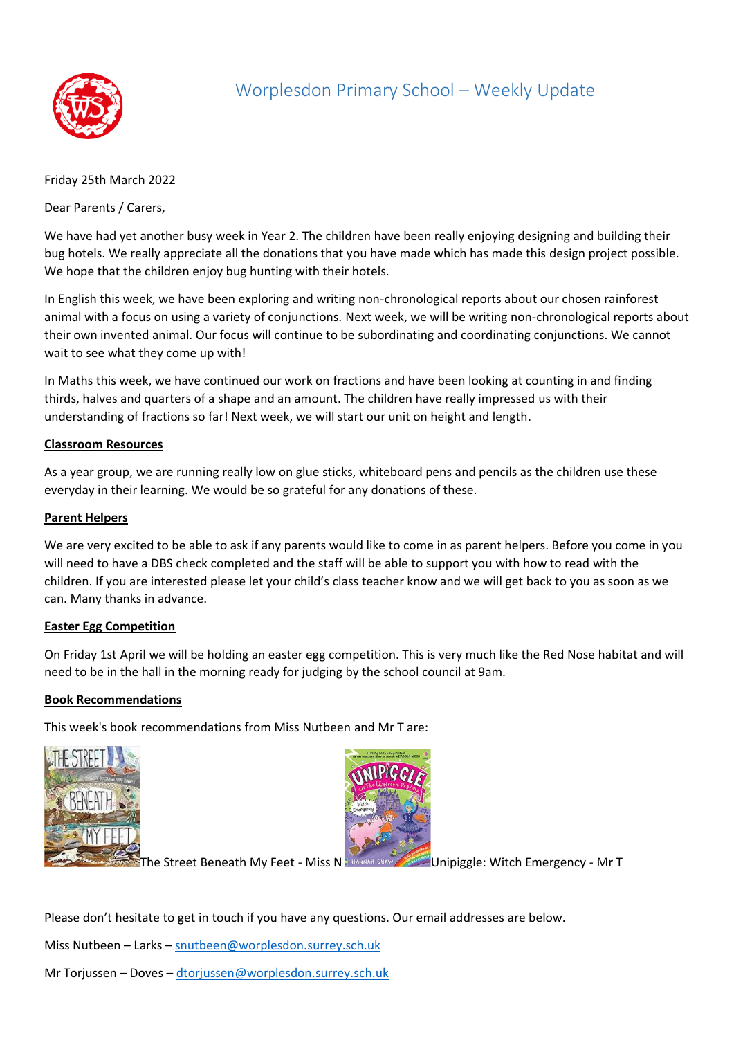

# Worplesdon Primary School – Weekly Update

Friday 25th March 2022

Dear Parents / Carers,

We have had yet another busy week in Year 2. The children have been really enjoying designing and building their bug hotels. We really appreciate all the donations that you have made which has made this design project possible. We hope that the children enjoy bug hunting with their hotels.

In English this week, we have been exploring and writing non-chronological reports about our chosen rainforest animal with a focus on using a variety of conjunctions. Next week, we will be writing non-chronological reports about their own invented animal. Our focus will continue to be subordinating and coordinating conjunctions. We cannot wait to see what they come up with!

In Maths this week, we have continued our work on fractions and have been looking at counting in and finding thirds, halves and quarters of a shape and an amount. The children have really impressed us with their understanding of fractions so far! Next week, we will start our unit on height and length.

### **Classroom Resources**

As a year group, we are running really low on glue sticks, whiteboard pens and pencils as the children use these everyday in their learning. We would be so grateful for any donations of these.

### **Parent Helpers**

We are very excited to be able to ask if any parents would like to come in as parent helpers. Before you come in you will need to have a DBS check completed and the staff will be able to support you with how to read with the children. If you are interested please let your child's class teacher know and we will get back to you as soon as we can. Many thanks in advance.

#### **Easter Egg Competition**

On Friday 1st April we will be holding an easter egg competition. This is very much like the Red Nose habitat and will need to be in the hall in the morning ready for judging by the school council at 9am.

## **Book Recommendations**

This week's book recommendations from Miss Nutbeen and Mr T are:





The Street Beneath My Feet - Miss N  $\frac{1}{2}$  HANNAN SHAW AND Unipiggle: Witch Emergency - Mr T

Please don't hesitate to get in touch if you have any questions. Our email addresses are below.

Miss Nutbeen – Larks – [snutbeen@worplesdon.surrey.sch.uk](mailto:snutbeen@worplesdon.surrey.sch.uk)

Mr Torjussen – Doves – [dtorjussen@worplesdon.surrey.sch.uk](mailto:dtorjussen@worplesdon.surrey.sch.uk)